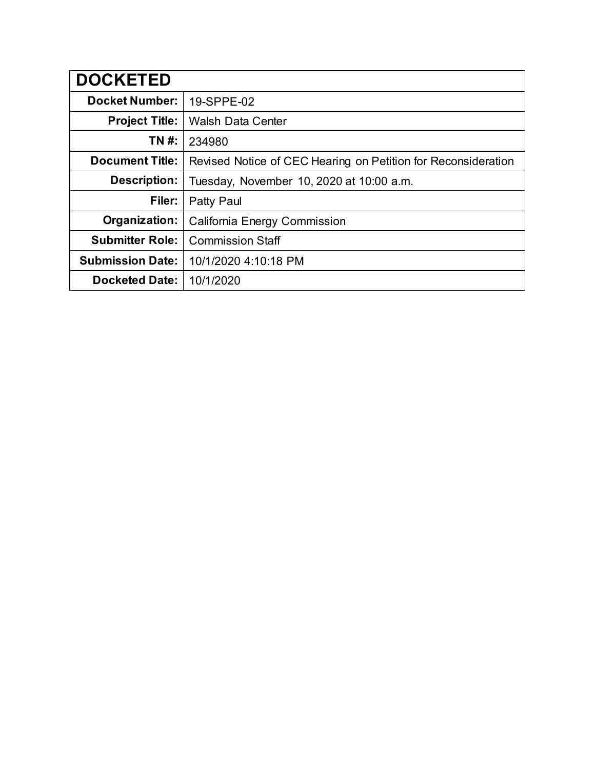| <b>DOCKETED</b>         |                                                               |
|-------------------------|---------------------------------------------------------------|
| <b>Docket Number:</b>   | 19-SPPE-02                                                    |
| <b>Project Title:</b>   | <b>Walsh Data Center</b>                                      |
| TN #:                   | 234980                                                        |
| <b>Document Title:</b>  | Revised Notice of CEC Hearing on Petition for Reconsideration |
| <b>Description:</b>     | Tuesday, November 10, 2020 at 10:00 a.m.                      |
| Filer:                  | Patty Paul                                                    |
| Organization:           | California Energy Commission                                  |
| <b>Submitter Role:</b>  | <b>Commission Staff</b>                                       |
| <b>Submission Date:</b> | 10/1/2020 4:10:18 PM                                          |
| <b>Docketed Date:</b>   | 10/1/2020                                                     |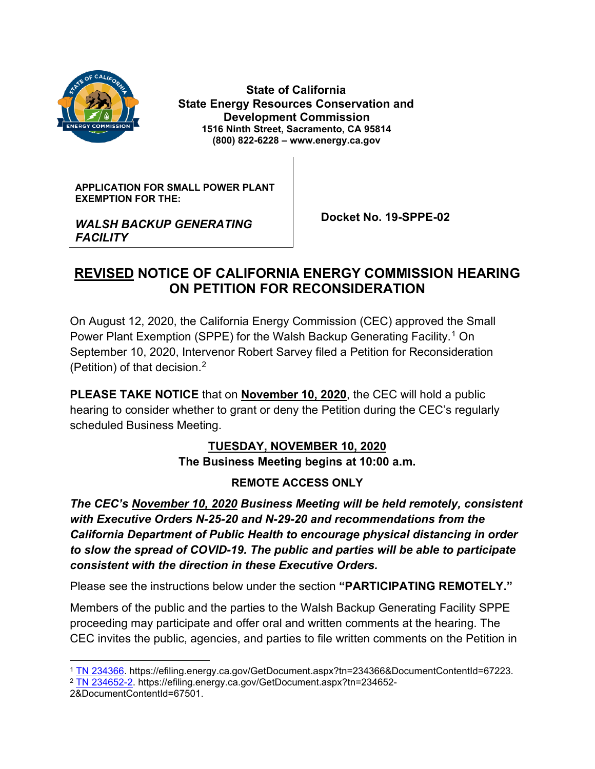

*FACILITY*

 **State of California State Energy Resources Conservation and Development Commission 1516 Ninth Street, Sacramento, CA 95814 (800) 822-6228 – www.energy.ca.gov**

**APPLICATION FOR SMALL POWER PLANT EXEMPTION FOR THE:**

*WALSH BACKUP GENERATING* 

 **Docket No. 19-SPPE-02**

## **REVISED NOTICE OF CALIFORNIA ENERGY COMMISSION HEARING ON PETITION FOR RECONSIDERATION**

On August 12, 2020, the California Energy Commission (CEC) approved the Small Power Plant Exemption (SPPE) for the Walsh Backup Generating Facility. [1](#page-1-0) On September 10, 2020, Intervenor Robert Sarvey filed a Petition for Reconsideration (Petition) of that decision.[2](#page-1-1)

**PLEASE TAKE NOTICE** that on **November 10, 2020**, the CEC will hold a public hearing to consider whether to grant or deny the Petition during the CEC's regularly scheduled Business Meeting.

# **TUESDAY, NOVEMBER 10, 2020**

**The Business Meeting begins at 10:00 a.m.**

#### **REMOTE ACCESS ONLY**

*The CEC's November 10, 2020 Business Meeting will be held remotely, consistent with Executive Orders N-25-20 and N-29-20 and recommendations from the California Department of Public Health to encourage physical distancing in order to slow the spread of COVID-19. The public and parties will be able to participate consistent with the direction in these Executive Orders.*

Please see the instructions below under the section **"PARTICIPATING REMOTELY."**

Members of the public and the parties to the Walsh Backup Generating Facility SPPE proceeding may participate and offer oral and written comments at the hearing. The CEC invites the public, agencies, and parties to file written comments on the Petition in

<span id="page-1-0"></span><sup>1</sup> [TN 234366.](https://efiling.energy.ca.gov/GetDocument.aspx?tn=234366&DocumentContentId=67223) https://efiling.energy.ca.gov/GetDocument.aspx?tn=234366&DocumentContentId=67223.

<span id="page-1-1"></span><sup>2</sup> [TN 234652-2.](https://efiling.energy.ca.gov/GetDocument.aspx?tn=234652-2&DocumentContentId=67501) https://efiling.energy.ca.gov/GetDocument.aspx?tn=234652-

<sup>2&</sup>amp;DocumentContentId=67501.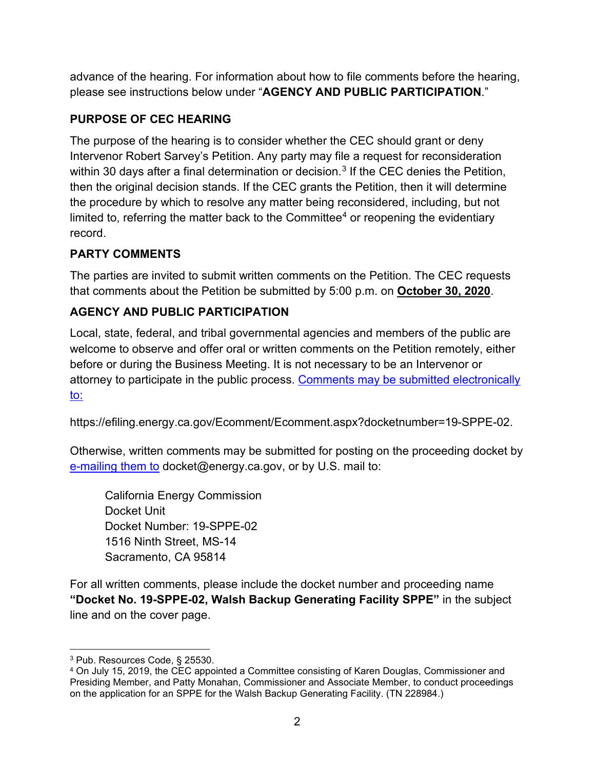advance of the hearing. For information about how to file comments before the hearing, please see instructions below under "**AGENCY AND PUBLIC PARTICIPATION**."

## **PURPOSE OF CEC HEARING**

The purpose of the hearing is to consider whether the CEC should grant or deny Intervenor Robert Sarvey's Petition. Any party may file a request for reconsideration within [3](#page-2-0)0 days after a final determination or decision.<sup>3</sup> If the CEC denies the Petition, then the original decision stands. If the CEC grants the Petition, then it will determine the procedure by which to resolve any matter being reconsidered, including, but not limited to, referring the matter back to the Committee<sup>[4](#page-2-1)</sup> or reopening the evidentiary record.

### **PARTY COMMENTS**

The parties are invited to submit written comments on the Petition. The CEC requests that comments about the Petition be submitted by 5:00 p.m. on **October 30, 2020**.

## **AGENCY AND PUBLIC PARTICIPATION**

Local, state, federal, and tribal governmental agencies and members of the public are welcome to observe and offer oral or written comments on the Petition remotely, either before or during the Business Meeting. It is not necessary to be an Intervenor or attorney to participate in the public process. [Comments may be submitted electronically](https://efiling.energy.ca.gov/Ecomment/Ecomment.aspx?docketnumber=19-SPPE-02)  [to:](https://efiling.energy.ca.gov/Ecomment/Ecomment.aspx?docketnumber=19-SPPE-02)

https://efiling.energy.ca.gov/Ecomment/Ecomment.aspx?docketnumber=19-SPPE-02.

Otherwise, written comments may be submitted for posting on the proceeding docket by [e-mailing them to](mailto:docket@energy.ca.gov) docket@energy.ca.gov, or by U.S. mail to:

California Energy Commission Docket Unit Docket Number: 19-SPPE-02 1516 Ninth Street, MS-14 Sacramento, CA 95814

For all written comments, please include the docket number and proceeding name **"Docket No. 19-SPPE-02, Walsh Backup Generating Facility SPPE"** in the subject line and on the cover page.

<span id="page-2-0"></span><sup>3</sup> Pub. Resources Code, § 25530.

<span id="page-2-1"></span><sup>4</sup> On July 15, 2019, the CEC appointed a Committee consisting of Karen Douglas, Commissioner and Presiding Member, and Patty Monahan, Commissioner and Associate Member, to conduct proceedings on the application for an SPPE for the Walsh Backup Generating Facility. (TN 228984.)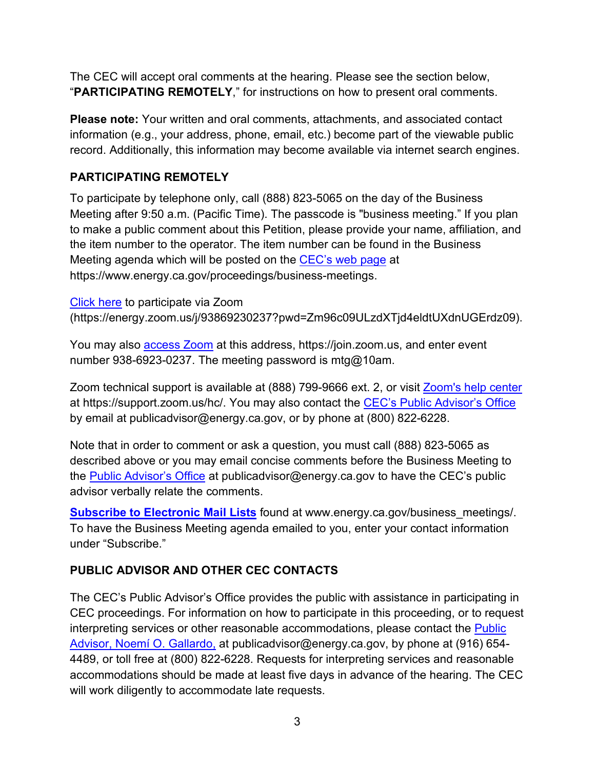The CEC will accept oral comments at the hearing. Please see the section below, "**PARTICIPATING REMOTELY**," for instructions on how to present oral comments.

**Please note:** Your written and oral comments, attachments, and associated contact information (e.g., your address, phone, email, etc.) become part of the viewable public record. Additionally, this information may become available via internet search engines.

#### **PARTICIPATING REMOTELY**

To participate by telephone only, call (888) 823-5065 on the day of the Business Meeting after 9:50 a.m. (Pacific Time). The passcode is "business meeting." If you plan to make a public comment about this Petition, please provide your name, affiliation, and the item number to the operator. The item number can be found in the Business Meeting agenda which will be posted on the [CEC's web page](https://www.energy.ca.gov/proceedings/business-meetings) at https://www.energy.ca.gov/proceedings/business-meetings.

[Click here](https://energy.zoom.us/j/93869230237?pwd=Zm96c09ULzdXTjd4eldtUXdnUGErdz09) to participate via Zoom (https://energy.zoom.us/j/93869230237?pwd=Zm96c09ULzdXTjd4eldtUXdnUGErdz09).

You may also [access Zoom](https://join.zoom.us/) at this address, https://join.zoom.us, and enter event number 938-6923-0237. The meeting password is mtg@10am.

Zoom technical support is available at (888) 799-9666 ext. 2, or visit [Zoom's help center](https://support.zoom.us/hc) at https://support.zoom.us/hc/. You may also contact the [CEC's Public Advisor's Office](mailto:CEC%E2%80%99s%20Public%20Advisor%E2%80%99s%20Office) by email at publicadvisor@energy.ca.gov, or by phone at (800) 822-6228.

Note that in order to comment or ask a question, you must call (888) 823-5065 as described above or you may email concise comments before the Business Meeting to the [Public Advisor's Office](mailto:publicadvisor@energy.ca.gov) at publicadvisor@energy.ca.gov to have the CEC's public advisor verbally relate the comments.

**[Subscribe to Electronic Mail Lists](http://www.energy.ca.gov/business_meetings) found at www.energy.ca.gov/business meetings/.** To have the Business Meeting agenda emailed to you, enter your contact information under "Subscribe."

## **PUBLIC ADVISOR AND OTHER CEC CONTACTS**

The CEC's Public Advisor's Office provides the public with assistance in participating in CEC proceedings. For information on how to participate in this proceeding, or to request interpreting services or other reasonable accommodations, please contact the [Public](mailto:publicadvisor@energy.ca.gov)  [Advisor, Noemí O. Gallardo,](mailto:publicadvisor@energy.ca.gov) at publicadvisor@energy.ca.gov, by phone at (916) 654- 4489, or toll free at (800) 822-6228. Requests for interpreting services and reasonable accommodations should be made at least five days in advance of the hearing. The CEC will work diligently to accommodate late requests.